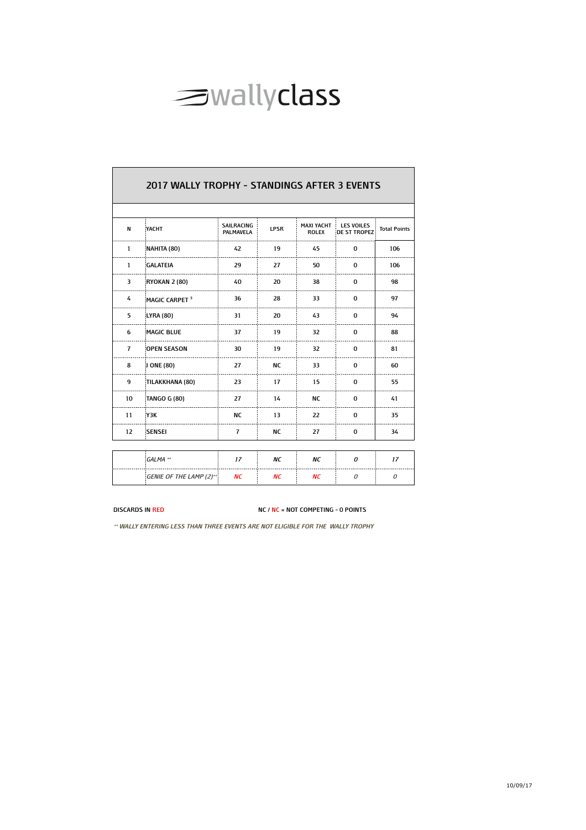

| 2017 WALLY TROPHY - STANDINGS AFTER 3 EVENTS |                                 |                                       |             |                                   |                                          |                     |  |  |  |  |  |
|----------------------------------------------|---------------------------------|---------------------------------------|-------------|-----------------------------------|------------------------------------------|---------------------|--|--|--|--|--|
|                                              |                                 |                                       |             |                                   |                                          |                     |  |  |  |  |  |
| N                                            | YACHT                           | <b>SAILRACING</b><br><b>PALMAVELA</b> | <b>LPSR</b> | <b>MAXI YACHT</b><br><b>ROLEX</b> | <b>LES VOILES</b><br><b>DE ST TROPEZ</b> | <b>Total Points</b> |  |  |  |  |  |
| $\mathbf{1}$                                 | NAHITA (80)                     | 42                                    | 19          | 45                                | 0                                        | 106                 |  |  |  |  |  |
| $\mathbf{1}$                                 | <b>GALATEIA</b>                 | 29                                    | 27          | 50                                | 0                                        | 106                 |  |  |  |  |  |
| 3                                            | <b>RYOKAN 2 (80)</b>            | 40                                    | 20          | 38                                | 0                                        | 98                  |  |  |  |  |  |
| 4                                            | MAGIC CARPET <sup>3</sup>       | 36                                    | 28          | 33                                | 0                                        | 97                  |  |  |  |  |  |
| 5                                            | LYRA (80)                       | 31                                    | 20          | 43                                | 0                                        | 94                  |  |  |  |  |  |
| 6                                            | <b>MAGIC BLUE</b>               | 37                                    | 19          | 32                                | 0                                        | 88                  |  |  |  |  |  |
| $\overline{7}$                               | <b>OPEN SEASON</b>              | 30                                    | 19          | 32                                | 0                                        | 81                  |  |  |  |  |  |
| 8                                            | J ONE (80)                      | 27                                    | <b>NC</b>   | 33                                | 0                                        | 60                  |  |  |  |  |  |
| 9                                            | TILAKKHANA (80)                 | 23                                    | 17          | 15                                | 0                                        | 55                  |  |  |  |  |  |
| 10                                           | <b>TANGO G (80)</b>             | 27                                    | 14          | <b>NC</b>                         | 0                                        | 41                  |  |  |  |  |  |
| 11                                           | <b>Y3K</b>                      | <b>NC</b>                             | 13          | 22                                | 0                                        | 35                  |  |  |  |  |  |
| 12                                           | SENSEI                          | $\overline{7}$                        | <b>NC</b>   | 27                                | 0                                        | 34                  |  |  |  |  |  |
|                                              |                                 |                                       |             |                                   |                                          |                     |  |  |  |  |  |
|                                              | GALMA **                        | 17                                    | ΝC          | ΝC                                | 0                                        | 17                  |  |  |  |  |  |
|                                              | <b>GENIE OF THE LAMP (2)**:</b> | ΝC                                    | ΝC          | ΝC                                | 0                                        | 0                   |  |  |  |  |  |

**DISCARDS IN RED NC / NC = NOT COMPETING - 0 POINTS**

**\*\* WALLY ENTERING LESS THAN THREE EVENTS ARE NOT ELIGIBLE FOR THE WALLY TROPHY**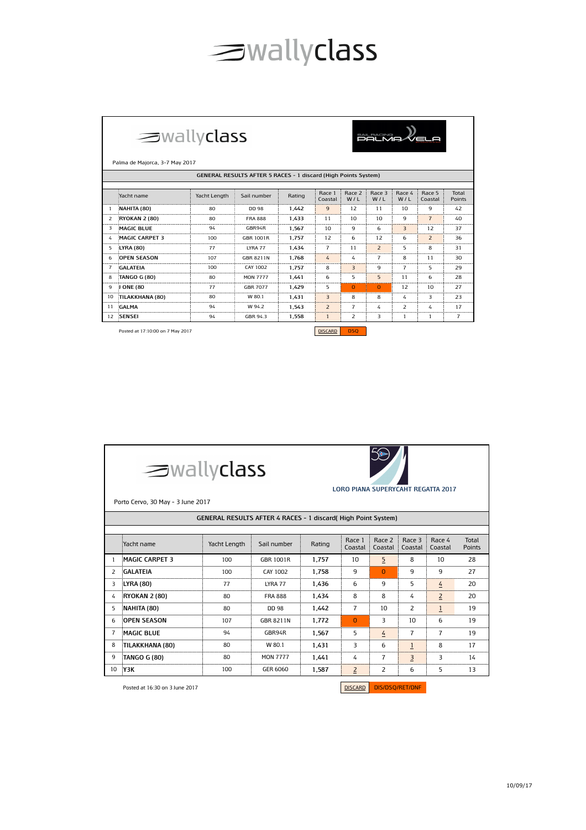## surallyclass

|                | $\equiv$ wallyclass<br><b>BALRACING WEL</b><br>Palma de Majorca, 3-7 May 2017<br>GENERAL RESULTS AFTER 5 RACES - 1 discard (High Points System)<br>Race 3<br>Race 5<br>Total<br>Race 1<br>Race 2<br>Race 4<br>Yacht name<br>Yacht Length<br>Sail number<br>Rating<br>Coastal<br>W/L<br>W/L<br>W/L<br>Points<br>Coastal<br>$\mathbf{q}$<br>12<br>9<br>NAHITA (80)<br>11<br>10<br>42<br>80<br>DD 98<br>1.442<br>1<br><b>FRA 888</b><br><b>RYOKAN 2 (80)</b><br>80<br>1.433<br>11<br>10<br>9<br>$\overline{7}$<br>2<br>10<br>40<br><b>MAGIC BLUE</b><br>10<br>9<br>$\overline{3}$<br>1.567<br>6<br>12<br>37<br>3<br>94<br>GBR94R<br><b>GBR 1001R</b><br><b>MAGIC CARPET 3</b><br>100<br>1.757<br>12<br>6<br>12<br>6<br>$\overline{z}$<br>36<br>4 |     |                  |       |                |                |                |                |    |                |
|----------------|-----------------------------------------------------------------------------------------------------------------------------------------------------------------------------------------------------------------------------------------------------------------------------------------------------------------------------------------------------------------------------------------------------------------------------------------------------------------------------------------------------------------------------------------------------------------------------------------------------------------------------------------------------------------------------------------------------------------------------------------------|-----|------------------|-------|----------------|----------------|----------------|----------------|----|----------------|
|                |                                                                                                                                                                                                                                                                                                                                                                                                                                                                                                                                                                                                                                                                                                                                               |     |                  |       |                |                |                |                |    |                |
|                |                                                                                                                                                                                                                                                                                                                                                                                                                                                                                                                                                                                                                                                                                                                                               |     |                  |       |                |                |                |                |    |                |
|                |                                                                                                                                                                                                                                                                                                                                                                                                                                                                                                                                                                                                                                                                                                                                               |     |                  |       |                |                |                |                |    |                |
|                |                                                                                                                                                                                                                                                                                                                                                                                                                                                                                                                                                                                                                                                                                                                                               |     |                  |       |                |                |                |                |    |                |
|                |                                                                                                                                                                                                                                                                                                                                                                                                                                                                                                                                                                                                                                                                                                                                               |     |                  |       |                |                |                |                |    |                |
|                |                                                                                                                                                                                                                                                                                                                                                                                                                                                                                                                                                                                                                                                                                                                                               |     |                  |       |                |                |                |                |    |                |
| 5              | <b>LYRA (80)</b>                                                                                                                                                                                                                                                                                                                                                                                                                                                                                                                                                                                                                                                                                                                              | 77  | LYRA 77          | 1.434 | $\overline{7}$ | 11             | $\overline{2}$ | 5              | 8  | 31             |
| 6              | <b>OPEN SEASON</b>                                                                                                                                                                                                                                                                                                                                                                                                                                                                                                                                                                                                                                                                                                                            | 107 | <b>GBR 8211N</b> | 1.768 | 4              | 4              | $\overline{7}$ | 8              | 11 | 30             |
| $\overline{7}$ | <b>GALATEIA</b>                                                                                                                                                                                                                                                                                                                                                                                                                                                                                                                                                                                                                                                                                                                               | 100 | CAY 1002         | 1.757 | 8              | $\overline{3}$ | 9              | $\overline{7}$ | 5  | 29             |
| 8              | <b>TANGO G (80)</b>                                                                                                                                                                                                                                                                                                                                                                                                                                                                                                                                                                                                                                                                                                                           | 80  | <b>MON 7777</b>  | 1.441 | 6              | 5              | 5              | 11             | 6  | 28             |
| 9              | J ONE (80                                                                                                                                                                                                                                                                                                                                                                                                                                                                                                                                                                                                                                                                                                                                     | 77  | <b>GBR 7077</b>  | 1.429 | 5              | $\Omega$       | $\Omega$       | 12             | 10 | 27             |
| 10             | TILAKKHANA (80)                                                                                                                                                                                                                                                                                                                                                                                                                                                                                                                                                                                                                                                                                                                               | 80  | W 80.1           | 1.431 | $\overline{3}$ | 8              | 8              | 4              | 3  | 23             |
| 11             | <b>GALMA</b>                                                                                                                                                                                                                                                                                                                                                                                                                                                                                                                                                                                                                                                                                                                                  | 94  | W 94.2           | 1.543 | $\overline{z}$ | $\overline{7}$ | 4              | $\overline{z}$ | 4  | 17             |
| 12             | <b>SENSEI</b>                                                                                                                                                                                                                                                                                                                                                                                                                                                                                                                                                                                                                                                                                                                                 | 94  | GBR 94.3         | 1.558 | $\mathbf{1}$   | 2              | 3              | 1              | 1  | $\overline{7}$ |

Posted at 17:10:00 on 7 May 2017 DISCARD DESCARD DESCARD DESCARD DESCARD DESCARD DESCARD DESCARD DESCARD DESCARD DESCARD DESCARD DESCARD DESCARD DESCARD DESCARD DESCARD DESCARD DESCARD DESCARD DESCARD DESCARD DESCARD DESCA

|                                                                      | $\equiv$ wallyclass<br><b>LORO PIANA SUPERYCAHT REGATTA 2017</b><br>Porto Cervo, 30 May - 3 June 2017 |                             |                  |        |                   |                   |                   |                   |                 |  |
|----------------------------------------------------------------------|-------------------------------------------------------------------------------------------------------|-----------------------------|------------------|--------|-------------------|-------------------|-------------------|-------------------|-----------------|--|
| <b>GENERAL RESULTS AFTER 4 RACES - 1 discard (High Point System)</b> |                                                                                                       |                             |                  |        |                   |                   |                   |                   |                 |  |
|                                                                      | Yacht name                                                                                            | Yacht Length<br>Sail number |                  | Rating | Race 1<br>Coastal | Race 2<br>Coastal | Race 3<br>Coastal | Race 4<br>Coastal | Total<br>Points |  |
| 1                                                                    | <b>MAGIC CARPET 3</b>                                                                                 | 100                         | GBR 1001R        | 1.757  | 10                | 5                 | 8                 | 10                | 28              |  |
| 2                                                                    | GALATEIA                                                                                              | 100                         | CAY 1002         | 1.758  | 9                 | n                 | q                 | 9                 | 27              |  |
| 3                                                                    | LYRA (80)                                                                                             | 77                          | LYRA 77          | 1.436  | 6                 | 9                 | 5                 | 4                 | 20              |  |
| 4                                                                    | <b>RYOKAN 2 (80)</b>                                                                                  | 80                          | <b>FRA 888</b>   | 1.434  | 8                 | 8                 | 4                 | $\overline{2}$    | 20              |  |
| 5.                                                                   | NAHITA (80)                                                                                           | 80                          | DD 98            | 1.442  | 7                 | 10                | 2                 | $\mathbf{1}$      | 19              |  |
| 6                                                                    | <b>OPEN SEASON</b>                                                                                    | 107                         | <b>GBR 8211N</b> | 1.772  | $\Omega$          | 3                 | 10                | 6                 | 19              |  |
| 7                                                                    | <b>MAGIC BLUE</b>                                                                                     | 94                          | GBR94R           | 1.567  | 5                 | 4                 | 7                 | $\overline{7}$    | 19              |  |
| 8                                                                    | TILAKKHANA (80)                                                                                       | 80                          | W 80.1           | 1.431  | 3                 | 6                 | $\mathbf{1}$      | 8                 | 17              |  |
| 9                                                                    | <b>TANGO G (80)</b>                                                                                   | 80                          | <b>MON 7777</b>  | 1.441  | 4                 | 7                 | $\overline{3}$    | 3                 | 14              |  |
| 10                                                                   | үзк                                                                                                   | 100                         | GER 6060         | 1,587  | 2                 | 2                 | 6                 | 5.                | 13              |  |

Posted at 16:30 on 3 June 2017

DISCARD DIS/DSQ/RET/DNF